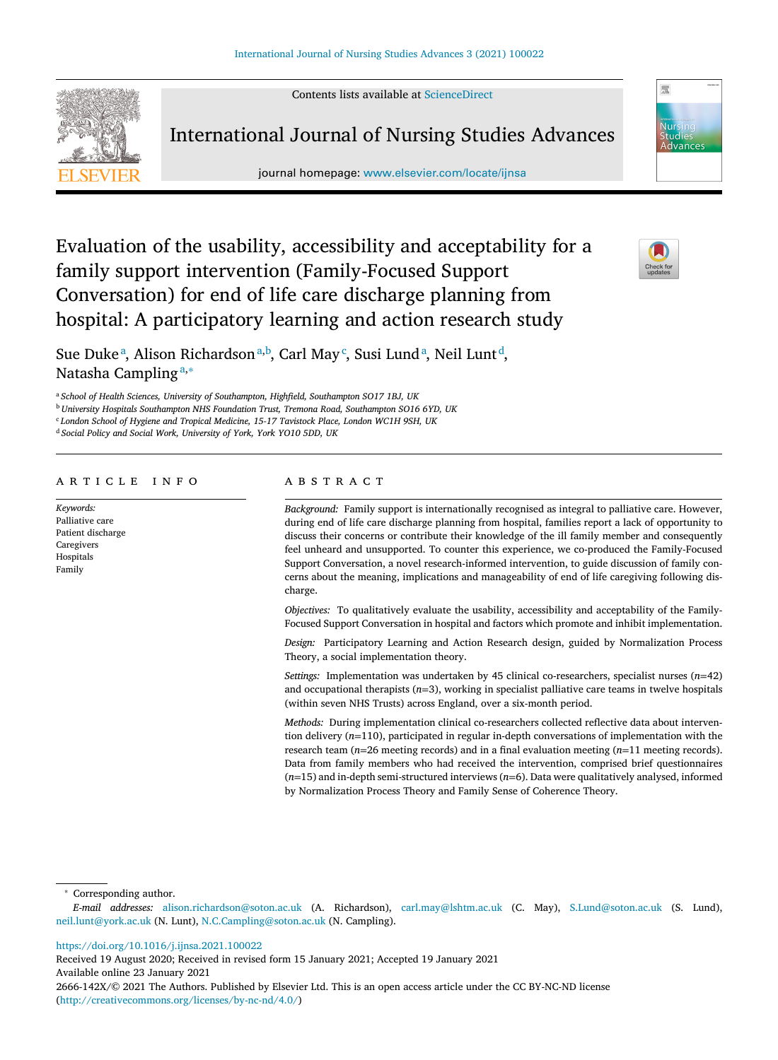Contents lists available at [ScienceDirect](http://www.ScienceDirect.com)



International Journal of Nursing Studies Advances

journal homepage: [www.elsevier.com/locate/ijnsa](http://www.elsevier.com/locate/ijnsa)



# Evaluation of the usability, accessibility and acceptability for a family support intervention (Family-Focused Support Conversation) for end of life care discharge planning from hospital: A participatory learning and action research study



Sue Dukeª, Alison Richardsonª,b, Carl May<sup>c</sup>, Susi Lundª, Neil Lunt<sup>d</sup>, Natasha Campling<sup>a,∗</sup>

<sup>a</sup> *School of Health Sciences, University of Southampton, Highfield, Southampton SO17 1BJ, UK*

<sup>b</sup> *University Hospitals Southampton NHS Foundation Trust, Tremona Road, Southampton SO16 6YD, UK*

<sup>c</sup> *London School of Hygiene and Tropical Medicine, 15-17 Tavistock Place, London WC1H 9SH, UK*

<sup>d</sup> *Social Policy and Social Work, University of York, York YO10 5DD, UK*

## a r t i c l e i n f o

*Keywords:* Palliative care Patient discharge **Caregivers** Hospitals Family

# A B S T R A C T

*Background:* Family support is internationally recognised as integral to palliative care. However, during end of life care discharge planning from hospital, families report a lack of opportunity to discuss their concerns or contribute their knowledge of the ill family member and consequently feel unheard and unsupported. To counter this experience, we co-produced the Family-Focused Support Conversation, a novel research-informed intervention, to guide discussion of family concerns about the meaning, implications and manageability of end of life caregiving following discharge.

*Objectives:* To qualitatively evaluate the usability, accessibility and acceptability of the Family-Focused Support Conversation in hospital and factors which promote and inhibit implementation.

*Design:* Participatory Learning and Action Research design, guided by Normalization Process Theory, a social implementation theory.

*Settings:* Implementation was undertaken by 45 clinical co-researchers, specialist nurses (*n*=42) and occupational therapists (*n*=3), working in specialist palliative care teams in twelve hospitals (within seven NHS Trusts) across England, over a six-month period.

*Methods:* During implementation clinical co-researchers collected reflective data about intervention delivery (*n*=110), participated in regular in-depth conversations of implementation with the research team (*n*=26 meeting records) and in a final evaluation meeting (*n*=11 meeting records). Data from family members who had received the intervention, comprised brief questionnaires (*n*=15) and in-depth semi-structured interviews (*n*=6). Data were qualitatively analysed, informed by Normalization Process Theory and Family Sense of Coherence Theory.

<sup>∗</sup> Corresponding author.

<https://doi.org/10.1016/j.ijnsa.2021.100022>

Received 19 August 2020; Received in revised form 15 January 2021; Accepted 19 January 2021 Available online 23 January 2021 2666-142X/© 2021 The Authors. Published by Elsevier Ltd. This is an open access article under the CC BY-NC-ND license [\(http://creativecommons.org/licenses/by-nc-nd/4.0/\)](http://creativecommons.org/licenses/by-nc-nd/4.0/)

*E-mail addresses:* [alison.richardson@soton.ac.uk](mailto:alison.richardson@soton.ac.uk) (A. Richardson), [carl.may@lshtm.ac.uk](mailto:carl.may@lshtm.ac.uk) (C. May), [S.Lund@soton.ac.uk](mailto:S.Lund@soton.ac.uk) (S. Lund), [neil.lunt@york.ac.uk](mailto:neil.lunt@york.ac.uk) (N. Lunt), [N.C.Campling@soton.ac.uk](mailto:N.C.Campling@soton.ac.uk) (N. Campling).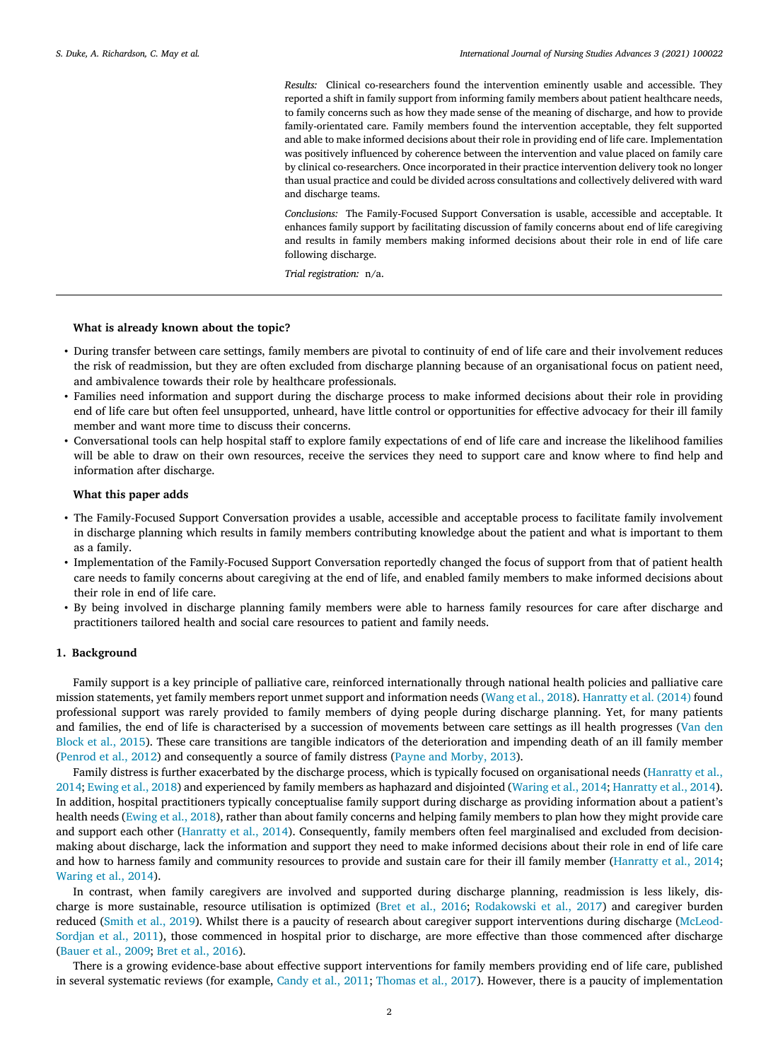*Results:* Clinical co-researchers found the intervention eminently usable and accessible. They reported a shift in family support from informing family members about patient healthcare needs, to family concerns such as how they made sense of the meaning of discharge, and how to provide family-orientated care. Family members found the intervention acceptable, they felt supported and able to make informed decisions about their role in providing end of life care. Implementation was positively influenced by coherence between the intervention and value placed on family care by clinical co-researchers. Once incorporated in their practice intervention delivery took no longer than usual practice and could be divided across consultations and collectively delivered with ward and discharge teams.

*Conclusions:* The Family-Focused Support Conversation is usable, accessible and acceptable. It enhances family support by facilitating discussion of family concerns about end of life caregiving and results in family members making informed decisions about their role in end of life care following discharge.

*Trial registration:* n/a.

#### **What is already known about the topic?**

- During transfer between care settings, family members are pivotal to continuity of end of life care and their involvement reduces the risk of readmission, but they are often excluded from discharge planning because of an organisational focus on patient need, and ambivalence towards their role by healthcare professionals.
- Families need information and support during the discharge process to make informed decisions about their role in providing end of life care but often feel unsupported, unheard, have little control or opportunities for effective advocacy for their ill family member and want more time to discuss their concerns.
- Conversational tools can help hospital staff to explore family expectations of end of life care and increase the likelihood families will be able to draw on their own resources, receive the services they need to support care and know where to find help and information after discharge.

# **What this paper adds**

- The Family-Focused Support Conversation provides a usable, accessible and acceptable process to facilitate family involvement in discharge planning which results in family members contributing knowledge about the patient and what is important to them as a family.
- Implementation of the Family-Focused Support Conversation reportedly changed the focus of support from that of patient health care needs to family concerns about caregiving at the end of life, and enabled family members to make informed decisions about their role in end of life care.
- By being involved in discharge planning family members were able to harness family resources for care after discharge and practitioners tailored health and social care resources to patient and family needs.

## **1. Background**

Family support is a key principle of palliative care, reinforced internationally through national health policies and palliative care mission statements, yet family members report unmet support and information needs [\(Wang](#page-11-0) et al., 2018). [Hanratty](#page-11-0) et al. (2014) found professional support was rarely provided to family members of dying people during discharge planning. Yet, for many patients and families, the end of life is [characterised](#page-11-0) by a succession of movements between care settings as ill health progresses (Van den Block et al., 2015). These care transitions are tangible indicators of the deterioration and impending death of an ill family member [\(Penrod](#page-11-0) et al., 2012) and consequently a source of family distress (Payne and [Morby,](#page-11-0) 2013).

Family distress is further exacerbated by the discharge process, which is typically focused on [organisational](#page-11-0) needs (Hanratty et al., 2014; [Ewing](#page-11-0) et al., 2018) and experienced by family members as haphazard and disjointed [\(Waring](#page-11-0) et al., 2014; [Hanratty](#page-11-0) et al., 2014). In addition, hospital practitioners typically conceptualise family support during discharge as providing information about a patient's health needs [\(Ewing](#page-11-0) et al., 2018), rather than about family concerns and helping family members to plan how they might provide care and support each other [\(Hanratty](#page-11-0) et al., 2014). Consequently, family members often feel marginalised and excluded from decisionmaking about discharge, lack the information and support they need to make informed decisions about their role in end of life care and how to harness family and community resources to provide and sustain care for their ill family member [\(Hanratty](#page-11-0) et al., 2014; [Waring](#page-11-0) et al., 2014).

In contrast, when family caregivers are involved and supported during discharge planning, readmission is less likely, discharge is more sustainable, resource utilisation is optimized (Bret et al., [2016;](#page-11-0) [Rodakowski](#page-11-0) et al., 2017) and caregiver burden reduced [\(Smith](#page-11-0) et al., 2019). Whilst there is a paucity of research about caregiver support [interventions](#page-11-0) during discharge (McLeod-Sordjan et al., 2011), those commenced in hospital prior to discharge, are more effective than those commenced after discharge [\(Bauer](#page-10-0) et al., 2009; Bret et al., [2016\)](#page-11-0).

There is a growing evidence-base about effective support interventions for family members providing end of life care, published in several systematic reviews (for example, [Candy](#page-11-0) et al., 2011; [Thomas](#page-11-0) et al., 2017). However, there is a paucity of implementation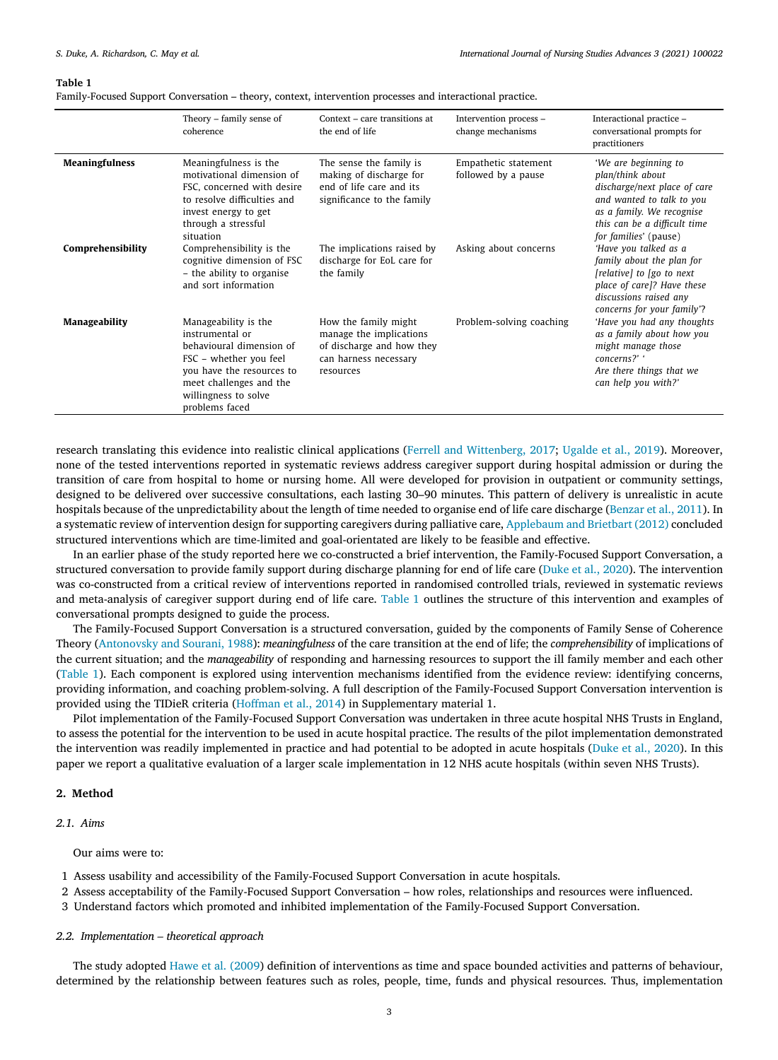#### **Table 1**

Family-Focused Support Conversation – theory, context, intervention processes and interactional practice.

|                       | Theory – family sense of<br>coherence                                                                                                                                                           | Context – care transitions at<br>the end of life                                                                   | Intervention process -<br>change mechanisms | Interactional practice -<br>conversational prompts for<br>practitioners                                                                                                                     |
|-----------------------|-------------------------------------------------------------------------------------------------------------------------------------------------------------------------------------------------|--------------------------------------------------------------------------------------------------------------------|---------------------------------------------|---------------------------------------------------------------------------------------------------------------------------------------------------------------------------------------------|
| <b>Meaningfulness</b> | Meaningfulness is the<br>motivational dimension of<br>FSC, concerned with desire<br>to resolve difficulties and<br>invest energy to get<br>through a stressful<br>situation                     | The sense the family is<br>making of discharge for<br>end of life care and its<br>significance to the family       | Empathetic statement<br>followed by a pause | 'We are beginning to<br>plan/think about<br>discharge/next place of care<br>and wanted to talk to you<br>as a family. We recognise<br>this can be a difficult time<br>for families' (pause) |
| Comprehensibility     | Comprehensibility is the<br>cognitive dimension of FSC<br>- the ability to organise<br>and sort information                                                                                     | The implications raised by<br>discharge for EoL care for<br>the family                                             | Asking about concerns                       | 'Have you talked as a<br>family about the plan for<br>[relative] to [go to next]<br>place of care]? Have these<br>discussions raised any<br>concerns for your family'?                      |
| Manageability         | Manageability is the<br>instrumental or<br>behavioural dimension of<br>FSC – whether you feel<br>you have the resources to<br>meet challenges and the<br>willingness to solve<br>problems faced | How the family might<br>manage the implications<br>of discharge and how they<br>can harness necessary<br>resources | Problem-solving coaching                    | 'Have you had any thoughts<br>as a family about how you<br>might manage those<br>concerns?' '<br>Are there things that we<br>can help you with?'                                            |

research translating this evidence into realistic clinical applications (Ferrell and [Wittenberg,](#page-11-0) 2017; [Ugalde](#page-11-0) et al., 2019). Moreover, none of the tested interventions reported in systematic reviews address caregiver support during hospital admission or during the transition of care from hospital to home or nursing home. All were developed for provision in outpatient or community settings, designed to be delivered over successive consultations, each lasting 30–90 minutes. This pattern of delivery is unrealistic in acute hospitals because of the unpredictability about the length of time needed to organise end of life care discharge [\(Benzar](#page-10-0) et al., 2011). In a systematic review of intervention design for supporting caregivers during palliative care, [Applebaum](#page-10-0) and Brietbart (2012) concluded structured interventions which are time-limited and goal-orientated are likely to be feasible and effective.

In an earlier phase of the study reported here we co-constructed a brief intervention, the Family-Focused Support Conversation, a structured conversation to provide family support during discharge planning for end of life care [\(Duke](#page-11-0) et al., 2020). The intervention was co-constructed from a critical review of interventions reported in randomised controlled trials, reviewed in systematic reviews and meta-analysis of caregiver support during end of life care. Table 1 outlines the structure of this intervention and examples of conversational prompts designed to guide the process.

The Family-Focused Support Conversation is a structured conversation, guided by the components of Family Sense of Coherence Theory [\(Antonovsky](#page-10-0) and Sourani, 1988): *meaningfulness* of the care transition at the end of life; the *comprehensibility* of implications of the current situation; and the *manageability* of responding and harnessing resources to support the ill family member and each other (Table 1). Each component is explored using intervention mechanisms identified from the evidence review: identifying concerns, providing information, and coaching problem-solving. A full description of the Family-Focused Support Conversation intervention is provided using the TIDieR criteria [\(Hoffman](#page-11-0) et al., 2014) in Supplementary material 1.

Pilot implementation of the Family-Focused Support Conversation was undertaken in three acute hospital NHS Trusts in England, to assess the potential for the intervention to be used in acute hospital practice. The results of the pilot implementation demonstrated the intervention was readily implemented in practice and had potential to be adopted in acute hospitals (Duke et al., [2020\)](#page-11-0). In this paper we report a qualitative evaluation of a larger scale implementation in 12 NHS acute hospitals (within seven NHS Trusts).

# **2. Method**

# *2.1. Aims*

Our aims were to:

- 1 Assess usability and accessibility of the Family-Focused Support Conversation in acute hospitals.
- 2 Assess acceptability of the Family-Focused Support Conversation how roles, relationships and resources were influenced.
- 3 Understand factors which promoted and inhibited implementation of the Family-Focused Support Conversation.

## *2.2. Implementation – theoretical approach*

The study adopted Hawe et al. [\(2009\)](#page-11-0) definition of interventions as time and space bounded activities and patterns of behaviour, determined by the relationship between features such as roles, people, time, funds and physical resources. Thus, implementation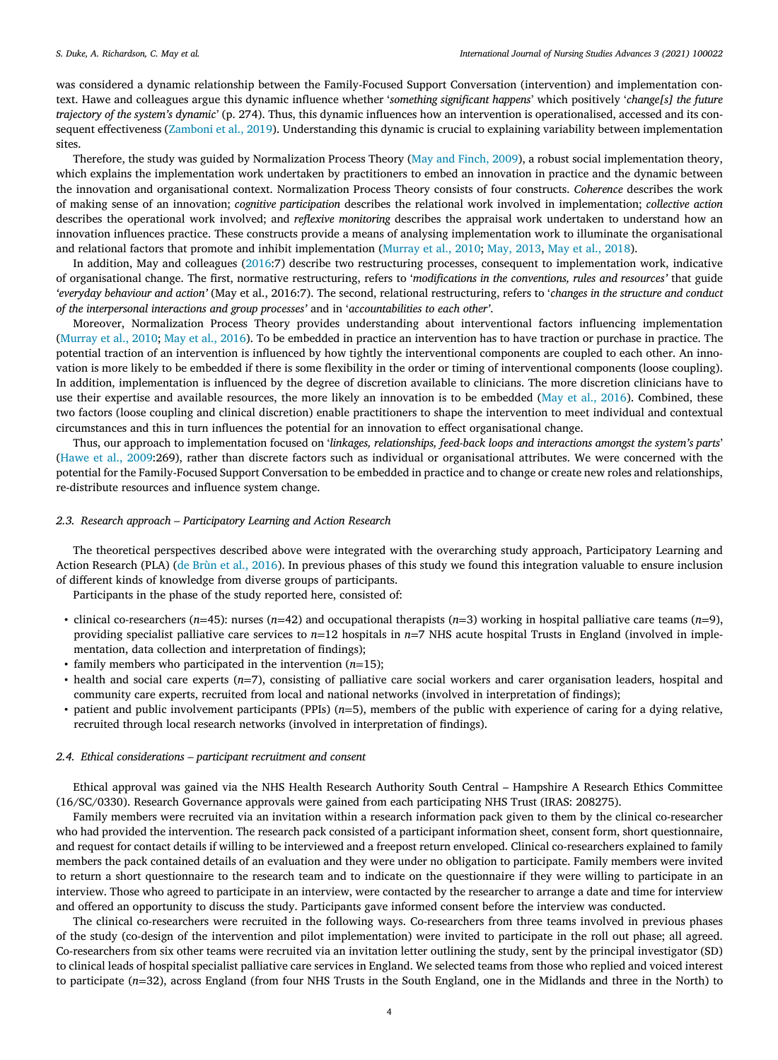was considered a dynamic relationship between the Family-Focused Support Conversation (intervention) and implementation context. Hawe and colleagues argue this dynamic influence whether '*something significant happens*' which positively '*change[s] the future trajectory of the system's dynamic*' (p. 274). Thus, this dynamic influences how an intervention is operationalised, accessed and its consequent effectiveness [\(Zamboni](#page-11-0) et al., 2019). Understanding this dynamic is crucial to explaining variability between implementation sites.

Therefore, the study was guided by Normalization Process Theory (May and [Finch,](#page-11-0) 2009), a robust social implementation theory, which explains the implementation work undertaken by practitioners to embed an innovation in practice and the dynamic between the innovation and organisational context. Normalization Process Theory consists of four constructs. *Coherence* describes the work of making sense of an innovation; *cognitive participation* describes the relational work involved in implementation; *collective action* describes the operational work involved; and *reflexive monitoring* describes the appraisal work undertaken to understand how an innovation influences practice. These constructs provide a means of analysing implementation work to illuminate the organisational and relational factors that promote and inhibit implementation [\(Murray](#page-11-0) et al., 2010; May, [2013,](#page-11-0) May et al., [2018\)](#page-11-0).

In addition, May and colleagues [\(2016:](#page-11-0)7) describe two restructuring processes, consequent to implementation work, indicative of organisational change. The first, normative restructuring, refers to '*modifications in the conventions, rules and resources'* that guide *'everyday behaviour and action'* (May et al., 2016:7). The second, relational restructuring, refers to '*changes in the structure and conduct of the interpersonal interactions and group processes'* and in '*accountabilities to each other'*.

Moreover, Normalization Process Theory provides understanding about interventional factors influencing implementation [\(Murray](#page-11-0) et al., 2010; May et al., [2016\)](#page-11-0). To be embedded in practice an intervention has to have traction or purchase in practice. The potential traction of an intervention is influenced by how tightly the interventional components are coupled to each other. An innovation is more likely to be embedded if there is some flexibility in the order or timing of interventional components (loose coupling). In addition, implementation is influenced by the degree of discretion available to clinicians. The more discretion clinicians have to use their expertise and available resources, the more likely an innovation is to be embedded (May et al., [2016\)](#page-11-0). Combined, these two factors (loose coupling and clinical discretion) enable practitioners to shape the intervention to meet individual and contextual circumstances and this in turn influences the potential for an innovation to effect organisational change.

Thus, our approach to implementation focused on '*linkages, relationships, feed-back loops and interactions amongst the system's parts*' [\(Hawe](#page-11-0) et al., 2009:269), rather than discrete factors such as individual or organisational attributes. We were concerned with the potential for the Family-Focused Support Conversation to be embedded in practice and to change or create new roles and relationships, re-distribute resources and influence system change.

# *2.3. Research approach – Participatory Learning and Action Research*

The theoretical perspectives described above were integrated with the overarching study approach, Participatory Learning and Action Research (PLA) (de Brùn et al., [2016\)](#page-10-0). In previous phases of this study we found this integration valuable to ensure inclusion of different kinds of knowledge from diverse groups of participants.

Participants in the phase of the study reported here, consisted of:

- clinical co-researchers (*n*=45): nurses (*n*=42) and occupational therapists (*n*=3) working in hospital palliative care teams (*n*=9), providing specialist palliative care services to *n*=12 hospitals in *n*=7 NHS acute hospital Trusts in England (involved in implementation, data collection and interpretation of findings);
- family members who participated in the intervention (*n*=15);
- health and social care experts (*n*=7), consisting of palliative care social workers and carer organisation leaders, hospital and community care experts, recruited from local and national networks (involved in interpretation of findings);
- patient and public involvement participants (PPIs) (*n*=5), members of the public with experience of caring for a dying relative, recruited through local research networks (involved in interpretation of findings).

# *2.4. Ethical considerations – participant recruitment and consent*

Ethical approval was gained via the NHS Health Research Authority South Central – Hampshire A Research Ethics Committee (16/SC/0330). Research Governance approvals were gained from each participating NHS Trust (IRAS: 208275).

Family members were recruited via an invitation within a research information pack given to them by the clinical co-researcher who had provided the intervention. The research pack consisted of a participant information sheet, consent form, short questionnaire, and request for contact details if willing to be interviewed and a freepost return enveloped. Clinical co-researchers explained to family members the pack contained details of an evaluation and they were under no obligation to participate. Family members were invited to return a short questionnaire to the research team and to indicate on the questionnaire if they were willing to participate in an interview. Those who agreed to participate in an interview, were contacted by the researcher to arrange a date and time for interview and offered an opportunity to discuss the study. Participants gave informed consent before the interview was conducted.

The clinical co-researchers were recruited in the following ways. Co-researchers from three teams involved in previous phases of the study (co-design of the intervention and pilot implementation) were invited to participate in the roll out phase; all agreed. Co-researchers from six other teams were recruited via an invitation letter outlining the study, sent by the principal investigator (SD) to clinical leads of hospital specialist palliative care services in England. We selected teams from those who replied and voiced interest to participate (*n*=32), across England (from four NHS Trusts in the South England, one in the Midlands and three in the North) to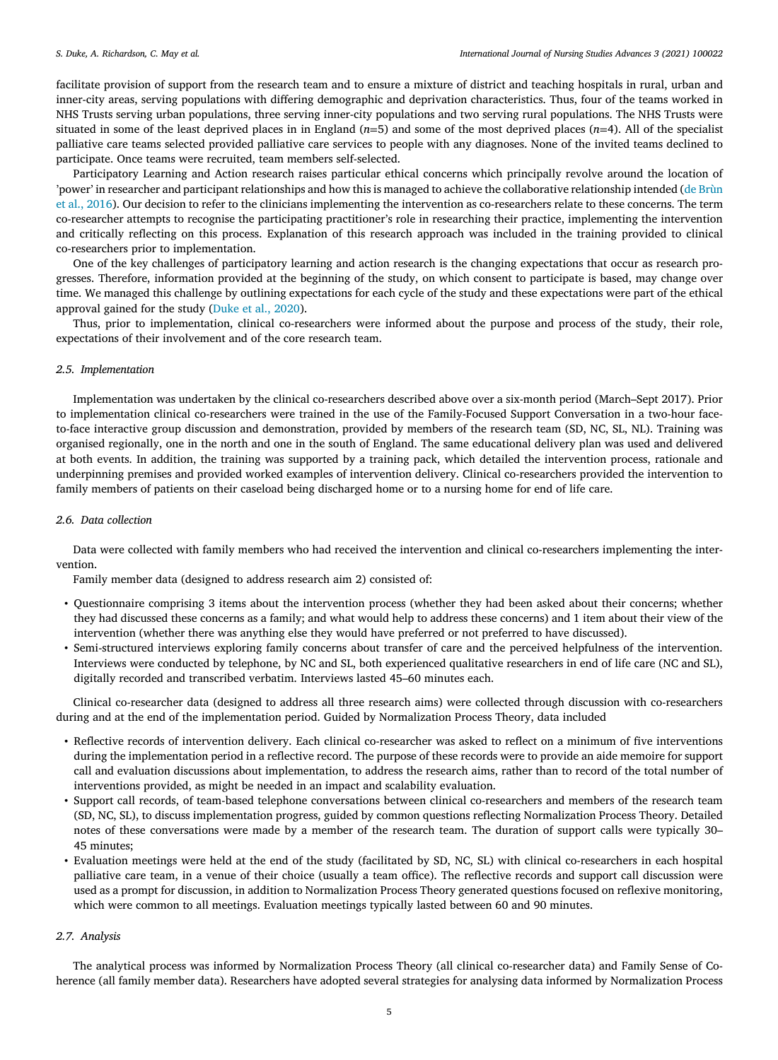facilitate provision of support from the research team and to ensure a mixture of district and teaching hospitals in rural, urban and inner-city areas, serving populations with differing demographic and deprivation characteristics. Thus, four of the teams worked in NHS Trusts serving urban populations, three serving inner-city populations and two serving rural populations. The NHS Trusts were situated in some of the least deprived places in in England (*n*=5) and some of the most deprived places (*n*=4). All of the specialist palliative care teams selected provided palliative care services to people with any diagnoses. None of the invited teams declined to participate. Once teams were recruited, team members self-selected.

Participatory Learning and Action research raises particular ethical concerns which principally revolve around the location of 'power' in researcher and participant relationships and how this is managed to achieve the collaborative relationship intended (de Brùn et al., 2016). Our decision to refer to the clinicians implementing the intervention as [co-researchers](#page-10-0) relate to these concerns. The term co-researcher attempts to recognise the participating practitioner's role in researching their practice, implementing the intervention and critically reflecting on this process. Explanation of this research approach was included in the training provided to clinical co-researchers prior to implementation.

One of the key challenges of participatory learning and action research is the changing expectations that occur as research progresses. Therefore, information provided at the beginning of the study, on which consent to participate is based, may change over time. We managed this challenge by outlining expectations for each cycle of the study and these expectations were part of the ethical approval gained for the study [\(Duke](#page-11-0) et al., 2020).

Thus, prior to implementation, clinical co-researchers were informed about the purpose and process of the study, their role, expectations of their involvement and of the core research team.

## *2.5. Implementation*

Implementation was undertaken by the clinical co-researchers described above over a six-month period (March–Sept 2017). Prior to implementation clinical co-researchers were trained in the use of the Family-Focused Support Conversation in a two-hour faceto-face interactive group discussion and demonstration, provided by members of the research team (SD, NC, SL, NL). Training was organised regionally, one in the north and one in the south of England. The same educational delivery plan was used and delivered at both events. In addition, the training was supported by a training pack, which detailed the intervention process, rationale and underpinning premises and provided worked examples of intervention delivery. Clinical co-researchers provided the intervention to family members of patients on their caseload being discharged home or to a nursing home for end of life care.

# *2.6. Data collection*

Data were collected with family members who had received the intervention and clinical co-researchers implementing the intervention.

Family member data (designed to address research aim 2) consisted of:

- Questionnaire comprising 3 items about the intervention process (whether they had been asked about their concerns; whether they had discussed these concerns as a family; and what would help to address these concerns) and 1 item about their view of the intervention (whether there was anything else they would have preferred or not preferred to have discussed).
- Semi-structured interviews exploring family concerns about transfer of care and the perceived helpfulness of the intervention. Interviews were conducted by telephone, by NC and SL, both experienced qualitative researchers in end of life care (NC and SL), digitally recorded and transcribed verbatim. Interviews lasted 45–60 minutes each.

Clinical co-researcher data (designed to address all three research aims) were collected through discussion with co-researchers during and at the end of the implementation period. Guided by Normalization Process Theory, data included

- Reflective records of intervention delivery. Each clinical co-researcher was asked to reflect on a minimum of five interventions during the implementation period in a reflective record. The purpose of these records were to provide an aide memoire for support call and evaluation discussions about implementation, to address the research aims, rather than to record of the total number of interventions provided, as might be needed in an impact and scalability evaluation.
- Support call records, of team-based telephone conversations between clinical co-researchers and members of the research team (SD, NC, SL), to discuss implementation progress, guided by common questions reflecting Normalization Process Theory. Detailed notes of these conversations were made by a member of the research team. The duration of support calls were typically 30– 45 minutes;
- Evaluation meetings were held at the end of the study (facilitated by SD, NC, SL) with clinical co-researchers in each hospital palliative care team, in a venue of their choice (usually a team office). The reflective records and support call discussion were used as a prompt for discussion, in addition to Normalization Process Theory generated questions focused on reflexive monitoring, which were common to all meetings. Evaluation meetings typically lasted between 60 and 90 minutes.

## *2.7. Analysis*

The analytical process was informed by Normalization Process Theory (all clinical co-researcher data) and Family Sense of Coherence (all family member data). Researchers have adopted several strategies for analysing data informed by Normalization Process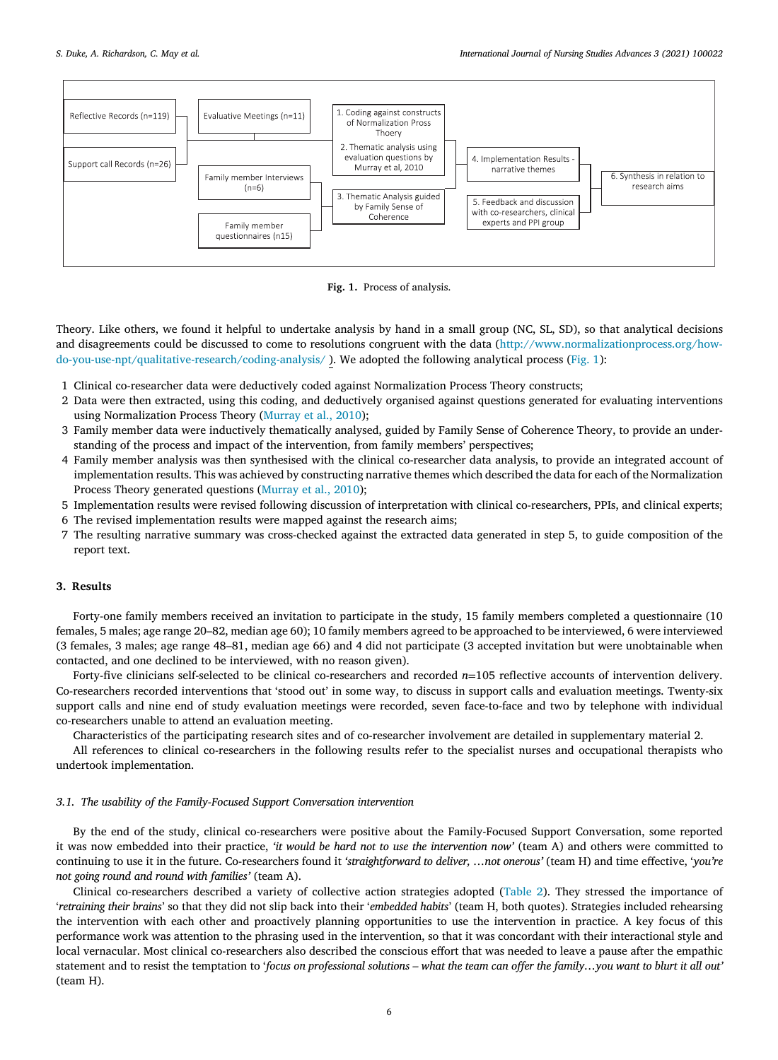

**Fig. 1.** Process of analysis.

Theory. Like others, we found it helpful to undertake analysis by hand in a small group (NC, SL, SD), so that analytical decisions and disagreements could be discussed to come to resolutions congruent with the data (http://www.normalizationprocess.org/how[do-you-use-npt/qualitative-research/coding-analysis/](http://www.normalizationprocess.org/how-do-you-use-npt/qualitative-research/coding-analysis/) ). We adopted the following analytical process (Fig. 1):

- 1 Clinical co-researcher data were deductively coded against Normalization Process Theory constructs;
- 2 Data were then extracted, using this coding, and deductively organised against questions generated for evaluating interventions using Normalization Process Theory [\(Murray](#page-11-0) et al., 2010);
- 3 Family member data were inductively thematically analysed, guided by Family Sense of Coherence Theory, to provide an understanding of the process and impact of the intervention, from family members' perspectives;
- 4 Family member analysis was then synthesised with the clinical co-researcher data analysis, to provide an integrated account of implementation results. This was achieved by constructing narrative themes which described the data for each of the Normalization Process Theory generated questions [\(Murray](#page-11-0) et al., 2010);
- 5 Implementation results were revised following discussion of interpretation with clinical co-researchers, PPIs, and clinical experts;
- 6 The revised implementation results were mapped against the research aims;
- 7 The resulting narrative summary was cross-checked against the extracted data generated in step 5, to guide composition of the report text.

# **3. Results**

Forty-one family members received an invitation to participate in the study, 15 family members completed a questionnaire (10 females, 5 males; age range 20–82, median age 60); 10 family members agreed to be approached to be interviewed, 6 were interviewed (3 females, 3 males; age range 48–81, median age 66) and 4 did not participate (3 accepted invitation but were unobtainable when contacted, and one declined to be interviewed, with no reason given).

Forty-five clinicians self-selected to be clinical co-researchers and recorded *n*=105 reflective accounts of intervention delivery. Co-researchers recorded interventions that 'stood out' in some way, to discuss in support calls and evaluation meetings. Twenty-six support calls and nine end of study evaluation meetings were recorded, seven face-to-face and two by telephone with individual co-researchers unable to attend an evaluation meeting.

Characteristics of the participating research sites and of co-researcher involvement are detailed in supplementary material 2.

All references to clinical co-researchers in the following results refer to the specialist nurses and occupational therapists who undertook implementation.

# *3.1. The usability of the Family-Focused Support Conversation intervention*

By the end of the study, clinical co-researchers were positive about the Family-Focused Support Conversation, some reported it was now embedded into their practice, *'it would be hard not to use the intervention now'* (team A) and others were committed to continuing to use it in the future. Co-researchers found it *'straightforward to deliver, …not onerous'* (team H) and time effective, '*you're not going round and round with families'* (team A).

Clinical co-researchers described a variety of collective action strategies adopted [\(Table](#page-6-0) 2). They stressed the importance of '*retraining their brains*' so that they did not slip back into their '*embedded habits*' (team H, both quotes). Strategies included rehearsing the intervention with each other and proactively planning opportunities to use the intervention in practice. A key focus of this performance work was attention to the phrasing used in the intervention, so that it was concordant with their interactional style and local vernacular. Most clinical co-researchers also described the conscious effort that was needed to leave a pause after the empathic statement and to resist the temptation to 'focus on professional solutions - what the team can offer the family...you want to blurt it all out' (team H).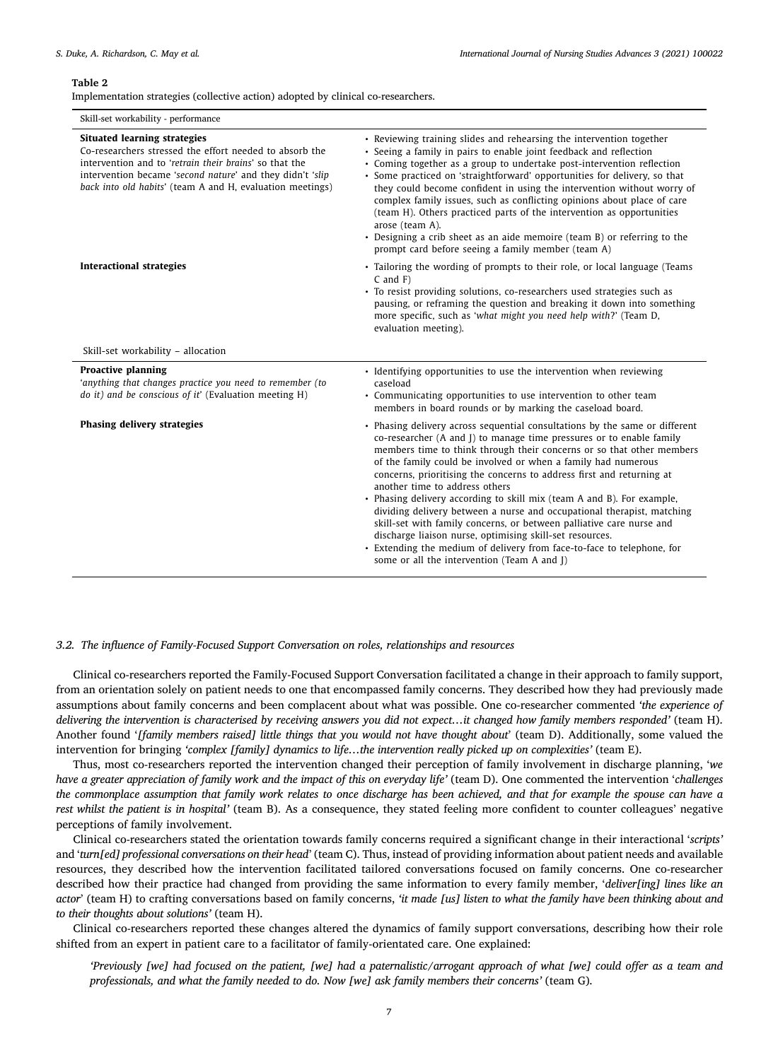#### <span id="page-6-0"></span>**Table 2**

Implementation strategies (collective action) adopted by clinical co-researchers.

| Skill-set workability - performance                                                                                                                                                                                                                                                |                                                                                                                                                                                                                                                                                                                                                                                                                                                                                                                                                                                                                                                                                                                                                                                                                           |  |  |  |
|------------------------------------------------------------------------------------------------------------------------------------------------------------------------------------------------------------------------------------------------------------------------------------|---------------------------------------------------------------------------------------------------------------------------------------------------------------------------------------------------------------------------------------------------------------------------------------------------------------------------------------------------------------------------------------------------------------------------------------------------------------------------------------------------------------------------------------------------------------------------------------------------------------------------------------------------------------------------------------------------------------------------------------------------------------------------------------------------------------------------|--|--|--|
| <b>Situated learning strategies</b><br>Co-researchers stressed the effort needed to absorb the<br>intervention and to 'retrain their brains' so that the<br>intervention became 'second nature' and they didn't 'slip<br>back into old habits' (team A and H, evaluation meetings) | • Reviewing training slides and rehearsing the intervention together<br>• Seeing a family in pairs to enable joint feedback and reflection<br>• Coming together as a group to undertake post-intervention reflection<br>• Some practiced on 'straightforward' opportunities for delivery, so that<br>they could become confident in using the intervention without worry of<br>complex family issues, such as conflicting opinions about place of care<br>(team H). Others practiced parts of the intervention as opportunities<br>arose (team A).<br>• Designing a crib sheet as an aide memoire (team B) or referring to the<br>prompt card before seeing a family member (team A)                                                                                                                                      |  |  |  |
| <b>Interactional strategies</b>                                                                                                                                                                                                                                                    | • Tailoring the wording of prompts to their role, or local language (Teams<br>$C$ and $F$ )<br>• To resist providing solutions, co-researchers used strategies such as<br>pausing, or reframing the question and breaking it down into something<br>more specific, such as 'what might you need help with?' (Team D,<br>evaluation meeting).                                                                                                                                                                                                                                                                                                                                                                                                                                                                              |  |  |  |
| Skill-set workability - allocation                                                                                                                                                                                                                                                 |                                                                                                                                                                                                                                                                                                                                                                                                                                                                                                                                                                                                                                                                                                                                                                                                                           |  |  |  |
| <b>Proactive planning</b><br>'anything that changes practice you need to remember (to<br>do it) and be conscious of it' (Evaluation meeting H)                                                                                                                                     | • Identifying opportunities to use the intervention when reviewing<br>caseload<br>• Communicating opportunities to use intervention to other team<br>members in board rounds or by marking the caseload board.                                                                                                                                                                                                                                                                                                                                                                                                                                                                                                                                                                                                            |  |  |  |
| Phasing delivery strategies                                                                                                                                                                                                                                                        | • Phasing delivery across sequential consultations by the same or different<br>co-researcher (A and I) to manage time pressures or to enable family<br>members time to think through their concerns or so that other members<br>of the family could be involved or when a family had numerous<br>concerns, prioritising the concerns to address first and returning at<br>another time to address others<br>• Phasing delivery according to skill mix (team A and B). For example,<br>dividing delivery between a nurse and occupational therapist, matching<br>skill-set with family concerns, or between palliative care nurse and<br>discharge liaison nurse, optimising skill-set resources.<br>• Extending the medium of delivery from face-to-face to telephone, for<br>some or all the intervention (Team A and I) |  |  |  |

#### *3.2. The influence of Family-Focused Support Conversation on roles, relationships and resources*

Clinical co-researchers reported the Family-Focused Support Conversation facilitated a change in their approach to family support, from an orientation solely on patient needs to one that encompassed family concerns. They described how they had previously made assumptions about family concerns and been complacent about what was possible. One co-researcher commented *'the experience of* delivering the intervention is characterised by receiving answers you did not expect...it changed how family members responded' (team H). Another found '*[family members raised] little things that you would not have thought about*' (team D). Additionally, some valued the intervention for bringing *'complex [family] dynamics to life…the intervention really picked up on complexities'* (team E).

Thus, most co-researchers reported the intervention changed their perception of family involvement in discharge planning, '*we* have a greater appreciation of family work and the impact of this on everyday life' (team D). One commented the intervention 'challenges the commonplace assumption that family work relates to once discharge has been achieved, and that for example the spouse can have a *rest whilst the patient is in hospital'* (team B). As a consequence, they stated feeling more confident to counter colleagues' negative perceptions of family involvement.

Clinical co-researchers stated the orientation towards family concerns required a significant change in their interactional '*scripts'* and '*turn[ed] professional conversations on their head*' (team C). Thus, instead of providing information about patient needs and available resources, they described how the intervention facilitated tailored conversations focused on family concerns. One co-researcher described how their practice had changed from providing the same information to every family member, '*deliver[ing] lines like an* actor' (team H) to crafting conversations based on family concerns, 'it made [us] listen to what the family have been thinking about and *to their thoughts about solutions'* (team H).

Clinical co-researchers reported these changes altered the dynamics of family support conversations, describing how their role shifted from an expert in patient care to a facilitator of family-orientated care. One explained:

'Previously [we] had focused on the patient, [we] had a paternalistic/arrogant approach of what [we] could offer as a team and *professionals, and what the family needed to do. Now [we] ask family members their concerns'* (team G)*.*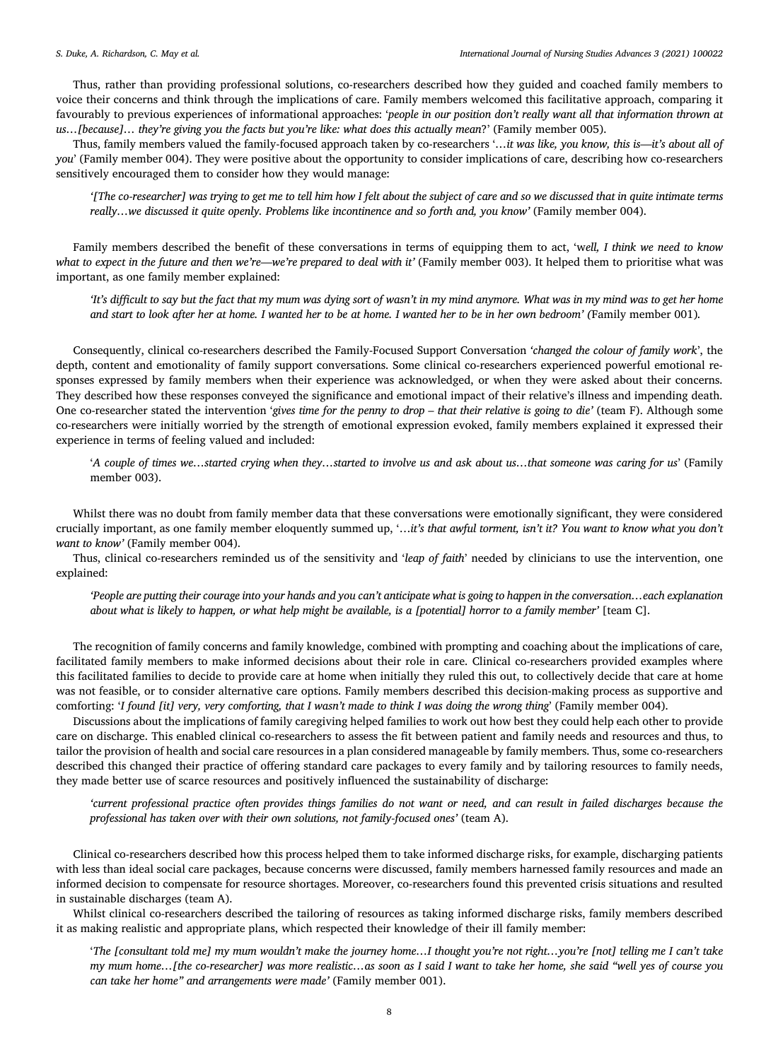Thus, rather than providing professional solutions, co-researchers described how they guided and coached family members to voice their concerns and think through the implications of care. Family members welcomed this facilitative approach, comparing it favourably to previous experiences of informational approaches: '*people in our position don't really want all that information thrown at us…[because]… they're giving you the facts but you're like: what does this actually mean*?' (Family member 005).

Thus, family members valued the family-focused approach taken by co-researchers '*…it was like, you know, this is—it's about all of you*' (Family member 004). They were positive about the opportunity to consider implications of care, describing how co-researchers sensitively encouraged them to consider how they would manage:

'[The co-researcher] was trying to get me to tell him how I felt about the subject of care and so we discussed that in quite intimate terms *really…we discussed it quite openly. Problems like incontinence and so forth and, you know'* (Family member 004).

Family members described the benefit of these conversations in terms of equipping them to act, 'w*ell, I think we need to know* what to expect in the future and then we're—we're prepared to deal with it' (Family member 003). It helped them to prioritise what was important, as one family member explained:

'It's difficult to say but the fact that my mum was dying sort of wasn't in my mind anymore. What was in my mind was to get her home and start to look after her at home. I wanted her to be at home. I wanted her to be in her own bedroom' (Family member 001).

Consequently, clinical co-researchers described the Family-Focused Support Conversation *'changed the colour of family work*', the depth, content and emotionality of family support conversations. Some clinical co-researchers experienced powerful emotional responses expressed by family members when their experience was acknowledged, or when they were asked about their concerns. They described how these responses conveyed the significance and emotional impact of their relative's illness and impending death. One co-researcher stated the intervention 'gives time for the penny to drop – that their relative is going to die' (team F). Although some co-researchers were initially worried by the strength of emotional expression evoked, family members explained it expressed their experience in terms of feeling valued and included:

'A couple of times we...started crying when they...started to involve us and ask about us...that someone was caring for us' (Family member 003).

Whilst there was no doubt from family member data that these conversations were emotionally significant, they were considered crucially important, as one family member eloquently summed up, '…*it's that awful torment, isn't it? You want to know what you don't want to know'* (Family member 004).

Thus, clinical co-researchers reminded us of the sensitivity and '*leap of faith*' needed by clinicians to use the intervention, one explained:

'People are putting their courage into your hands and you can't anticipate what is going to happen in the conversation...each explanation about what is likely to happen, or what help might be available, is a [potential] horror to a family member' [team C].

The recognition of family concerns and family knowledge, combined with prompting and coaching about the implications of care, facilitated family members to make informed decisions about their role in care. Clinical co-researchers provided examples where this facilitated families to decide to provide care at home when initially they ruled this out, to collectively decide that care at home was not feasible, or to consider alternative care options. Family members described this decision-making process as supportive and comforting: 'I found [it] very, very comforting, that I wasn't made to think I was doing the wrong thing' (Family member 004).

Discussions about the implications of family caregiving helped families to work out how best they could help each other to provide care on discharge. This enabled clinical co-researchers to assess the fit between patient and family needs and resources and thus, to tailor the provision of health and social care resources in a plan considered manageable by family members. Thus, some co-researchers described this changed their practice of offering standard care packages to every family and by tailoring resources to family needs, they made better use of scarce resources and positively influenced the sustainability of discharge:

'current professional practice often provides things families do not want or need, and can result in failed discharges because the *professional has taken over with their own solutions, not family-focused ones'* (team A).

Clinical co-researchers described how this process helped them to take informed discharge risks, for example, discharging patients with less than ideal social care packages, because concerns were discussed, family members harnessed family resources and made an informed decision to compensate for resource shortages. Moreover, co-researchers found this prevented crisis situations and resulted in sustainable discharges (team A).

Whilst clinical co-researchers described the tailoring of resources as taking informed discharge risks, family members described it as making realistic and appropriate plans, which respected their knowledge of their ill family member:

'The [consultant told me] my mum wouldn't make the journey home...I thought you're not right...you're [not] telling me I can't take my mum home...[the co-researcher] was more realistic...as soon as I said I want to take her home, she said "well yes of course you *can take her home" and arrangements were made'* (Family member 001).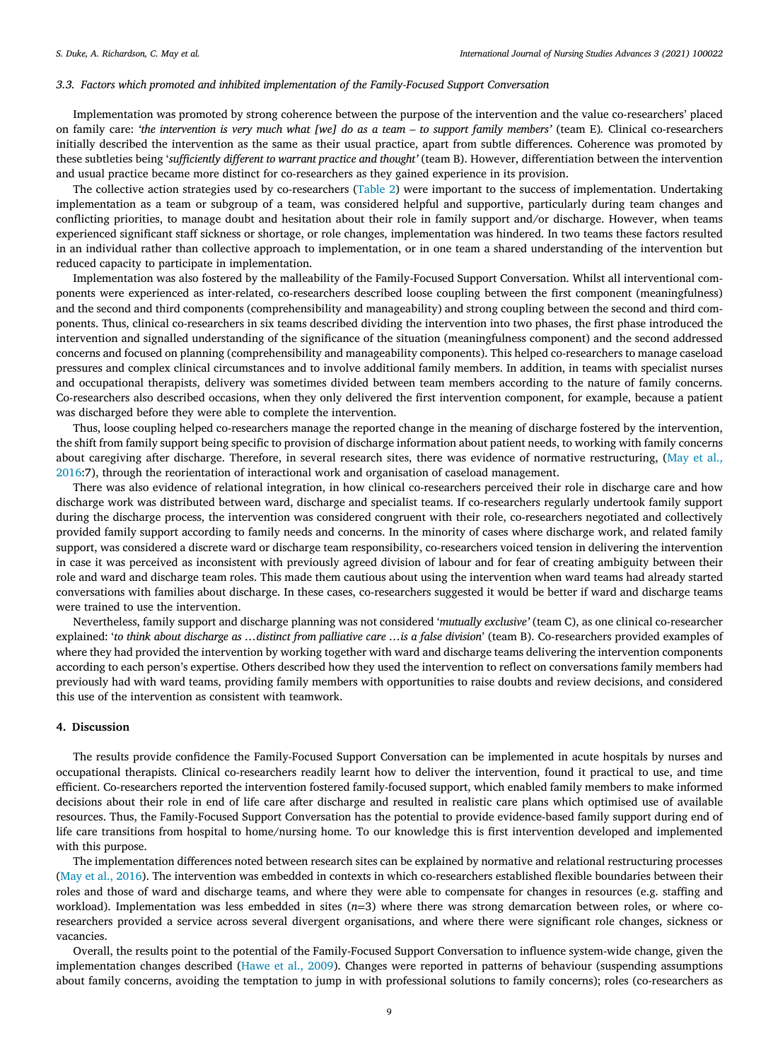## *3.3. Factors which promoted and inhibited implementation of the Family-Focused Support Conversation*

Implementation was promoted by strong coherence between the purpose of the intervention and the value co-researchers' placed on family care: 'the intervention is very much what [we] do as a team - to support family members' (team E). Clinical co-researchers initially described the intervention as the same as their usual practice, apart from subtle differences. Coherence was promoted by these subtleties being '*sufficiently different to warrant practice and thought'* (team B). However, differentiation between the intervention and usual practice became more distinct for co-researchers as they gained experience in its provision.

The collective action strategies used by co-researchers [\(Table](#page-6-0) 2) were important to the success of implementation. Undertaking implementation as a team or subgroup of a team, was considered helpful and supportive, particularly during team changes and conflicting priorities, to manage doubt and hesitation about their role in family support and/or discharge. However, when teams experienced significant staff sickness or shortage, or role changes, implementation was hindered. In two teams these factors resulted in an individual rather than collective approach to implementation, or in one team a shared understanding of the intervention but reduced capacity to participate in implementation.

Implementation was also fostered by the malleability of the Family-Focused Support Conversation. Whilst all interventional components were experienced as inter-related, co-researchers described loose coupling between the first component (meaningfulness) and the second and third components (comprehensibility and manageability) and strong coupling between the second and third components. Thus, clinical co-researchers in six teams described dividing the intervention into two phases, the first phase introduced the intervention and signalled understanding of the significance of the situation (meaningfulness component) and the second addressed concerns and focused on planning (comprehensibility and manageability components). This helped co-researchers to manage caseload pressures and complex clinical circumstances and to involve additional family members. In addition, in teams with specialist nurses and occupational therapists, delivery was sometimes divided between team members according to the nature of family concerns. Co-researchers also described occasions, when they only delivered the first intervention component, for example, because a patient was discharged before they were able to complete the intervention.

Thus, loose coupling helped co-researchers manage the reported change in the meaning of discharge fostered by the intervention, the shift from family support being specific to provision of discharge information about patient needs, to working with family concerns about caregiving after discharge. Therefore, in several research sites, there was evidence of normative [restructuring,](#page-11-0) (May et al., 2016:7), through the reorientation of interactional work and organisation of caseload management.

There was also evidence of relational integration, in how clinical co-researchers perceived their role in discharge care and how discharge work was distributed between ward, discharge and specialist teams. If co-researchers regularly undertook family support during the discharge process, the intervention was considered congruent with their role, co-researchers negotiated and collectively provided family support according to family needs and concerns. In the minority of cases where discharge work, and related family support, was considered a discrete ward or discharge team responsibility, co-researchers voiced tension in delivering the intervention in case it was perceived as inconsistent with previously agreed division of labour and for fear of creating ambiguity between their role and ward and discharge team roles. This made them cautious about using the intervention when ward teams had already started conversations with families about discharge. In these cases, co-researchers suggested it would be better if ward and discharge teams were trained to use the intervention.

Nevertheless, family support and discharge planning was not considered '*mutually exclusive'* (team C), as one clinical co-researcher explained: 'to think about discharge as ...distinct from palliative care ...is a false division' (team B). Co-researchers provided examples of where they had provided the intervention by working together with ward and discharge teams delivering the intervention components according to each person's expertise. Others described how they used the intervention to reflect on conversations family members had previously had with ward teams, providing family members with opportunities to raise doubts and review decisions, and considered this use of the intervention as consistent with teamwork.

# **4. Discussion**

The results provide confidence the Family-Focused Support Conversation can be implemented in acute hospitals by nurses and occupational therapists. Clinical co-researchers readily learnt how to deliver the intervention, found it practical to use, and time efficient. Co-researchers reported the intervention fostered family-focused support, which enabled family members to make informed decisions about their role in end of life care after discharge and resulted in realistic care plans which optimised use of available resources. Thus, the Family-Focused Support Conversation has the potential to provide evidence-based family support during end of life care transitions from hospital to home/nursing home. To our knowledge this is first intervention developed and implemented with this purpose.

The implementation differences noted between research sites can be explained by normative and relational restructuring processes (May et al., [2016\)](#page-11-0). The intervention was embedded in contexts in which co-researchers established flexible boundaries between their roles and those of ward and discharge teams, and where they were able to compensate for changes in resources (e.g. staffing and workload). Implementation was less embedded in sites (*n*=3) where there was strong demarcation between roles, or where coresearchers provided a service across several divergent organisations, and where there were significant role changes, sickness or vacancies.

Overall, the results point to the potential of the Family-Focused Support Conversation to influence system-wide change, given the implementation changes described [\(Hawe](#page-11-0) et al., 2009). Changes were reported in patterns of behaviour (suspending assumptions about family concerns, avoiding the temptation to jump in with professional solutions to family concerns); roles (co-researchers as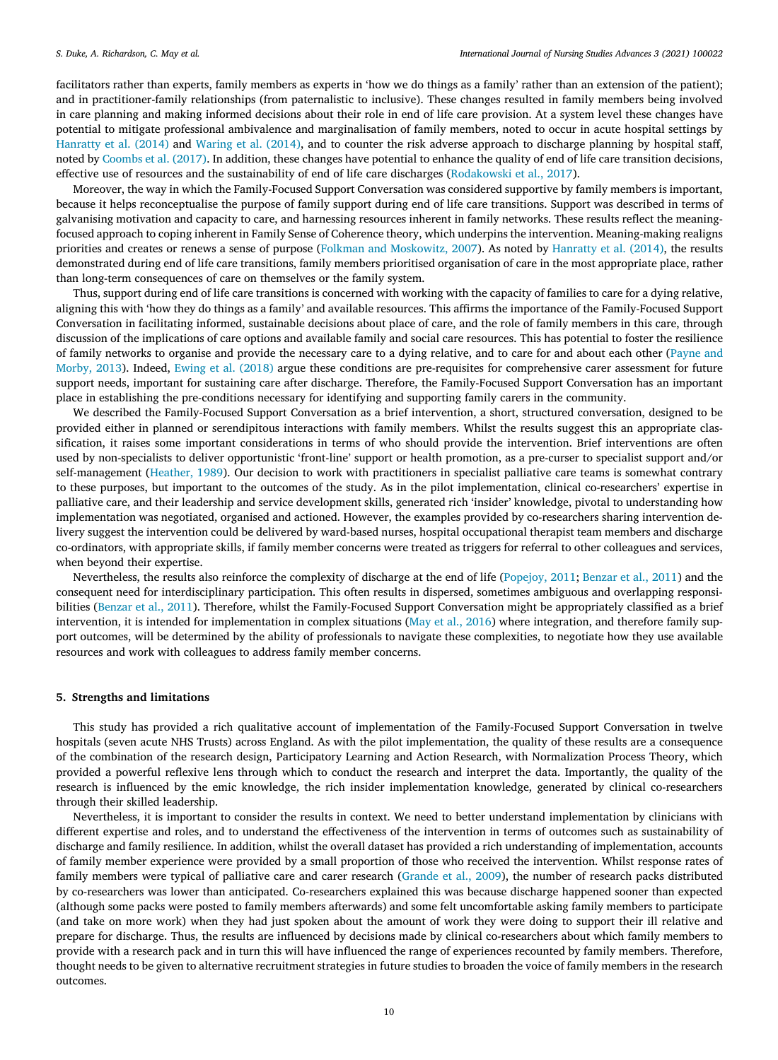facilitators rather than experts, family members as experts in 'how we do things as a family' rather than an extension of the patient); and in practitioner-family relationships (from paternalistic to inclusive). These changes resulted in family members being involved in care planning and making informed decisions about their role in end of life care provision. At a system level these changes have potential to mitigate professional ambivalence and marginalisation of family members, noted to occur in acute hospital settings by [Hanratty](#page-11-0) et al. (2014) and [Waring](#page-11-0) et al. (2014), and to counter the risk adverse approach to discharge planning by hospital staff, noted by [Coombs](#page-11-0) et al. (2017). In addition, these changes have potential to enhance the quality of end of life care transition decisions, effective use of resources and the sustainability of end of life care discharges [\(Rodakowski](#page-11-0) et al., 2017).

Moreover, the way in which the Family-Focused Support Conversation was considered supportive by family members is important, because it helps reconceptualise the purpose of family support during end of life care transitions. Support was described in terms of galvanising motivation and capacity to care, and harnessing resources inherent in family networks. These results reflect the meaningfocused approach to coping inherent in Family Sense of Coherence theory, which underpins the intervention. Meaning-making realigns priorities and creates or renews a sense of purpose (Folkman and [Moskowitz,](#page-11-0) 2007). As noted by [Hanratty](#page-11-0) et al. (2014), the results demonstrated during end of life care transitions, family members prioritised organisation of care in the most appropriate place, rather than long-term consequences of care on themselves or the family system.

Thus, support during end of life care transitions is concerned with working with the capacity of families to care for a dying relative, aligning this with 'how they do things as a family' and available resources. This affirms the importance of the Family-Focused Support Conversation in facilitating informed, sustainable decisions about place of care, and the role of family members in this care, through discussion of the implications of care options and available family and social care resources. This has potential to foster the resilience of family networks to organise and provide the necessary care to a dying relative, and to care for and about each other (Payne and Morby, 2013). Indeed, Ewing et al. [\(2018\)](#page-11-0) argue these conditions are pre-requisites for [comprehensive](#page-11-0) carer assessment for future support needs, important for sustaining care after discharge. Therefore, the Family-Focused Support Conversation has an important place in establishing the pre-conditions necessary for identifying and supporting family carers in the community.

We described the Family-Focused Support Conversation as a brief intervention, a short, structured conversation, designed to be provided either in planned or serendipitous interactions with family members. Whilst the results suggest this an appropriate classification, it raises some important considerations in terms of who should provide the intervention. Brief interventions are often used by non-specialists to deliver opportunistic 'front-line' support or health promotion, as a pre-curser to specialist support and/or self-management [\(Heather,](#page-11-0) 1989). Our decision to work with practitioners in specialist palliative care teams is somewhat contrary to these purposes, but important to the outcomes of the study. As in the pilot implementation, clinical co-researchers' expertise in palliative care, and their leadership and service development skills, generated rich 'insider' knowledge, pivotal to understanding how implementation was negotiated, organised and actioned. However, the examples provided by co-researchers sharing intervention delivery suggest the intervention could be delivered by ward-based nurses, hospital occupational therapist team members and discharge co-ordinators, with appropriate skills, if family member concerns were treated as triggers for referral to other colleagues and services, when beyond their expertise.

Nevertheless, the results also reinforce the complexity of discharge at the end of life [\(Popejoy,](#page-11-0) 2011; [Benzar](#page-10-0) et al., 2011) and the consequent need for interdisciplinary participation. This often results in dispersed, sometimes ambiguous and overlapping responsibilities [\(Benzar](#page-10-0) et al., 2011). Therefore, whilst the Family-Focused Support Conversation might be appropriately classified as a brief intervention, it is intended for implementation in complex situations (May et al., [2016\)](#page-11-0) where integration, and therefore family support outcomes, will be determined by the ability of professionals to navigate these complexities, to negotiate how they use available resources and work with colleagues to address family member concerns.

#### **5. Strengths and limitations**

This study has provided a rich qualitative account of implementation of the Family-Focused Support Conversation in twelve hospitals (seven acute NHS Trusts) across England. As with the pilot implementation, the quality of these results are a consequence of the combination of the research design, Participatory Learning and Action Research, with Normalization Process Theory, which provided a powerful reflexive lens through which to conduct the research and interpret the data. Importantly, the quality of the research is influenced by the emic knowledge, the rich insider implementation knowledge, generated by clinical co-researchers through their skilled leadership.

Nevertheless, it is important to consider the results in context. We need to better understand implementation by clinicians with different expertise and roles, and to understand the effectiveness of the intervention in terms of outcomes such as sustainability of discharge and family resilience. In addition, whilst the overall dataset has provided a rich understanding of implementation, accounts of family member experience were provided by a small proportion of those who received the intervention. Whilst response rates of family members were typical of palliative care and carer research [\(Grande](#page-11-0) et al., 2009), the number of research packs distributed by co-researchers was lower than anticipated. Co-researchers explained this was because discharge happened sooner than expected (although some packs were posted to family members afterwards) and some felt uncomfortable asking family members to participate (and take on more work) when they had just spoken about the amount of work they were doing to support their ill relative and prepare for discharge. Thus, the results are influenced by decisions made by clinical co-researchers about which family members to provide with a research pack and in turn this will have influenced the range of experiences recounted by family members. Therefore, thought needs to be given to alternative recruitment strategies in future studies to broaden the voice of family members in the research outcomes.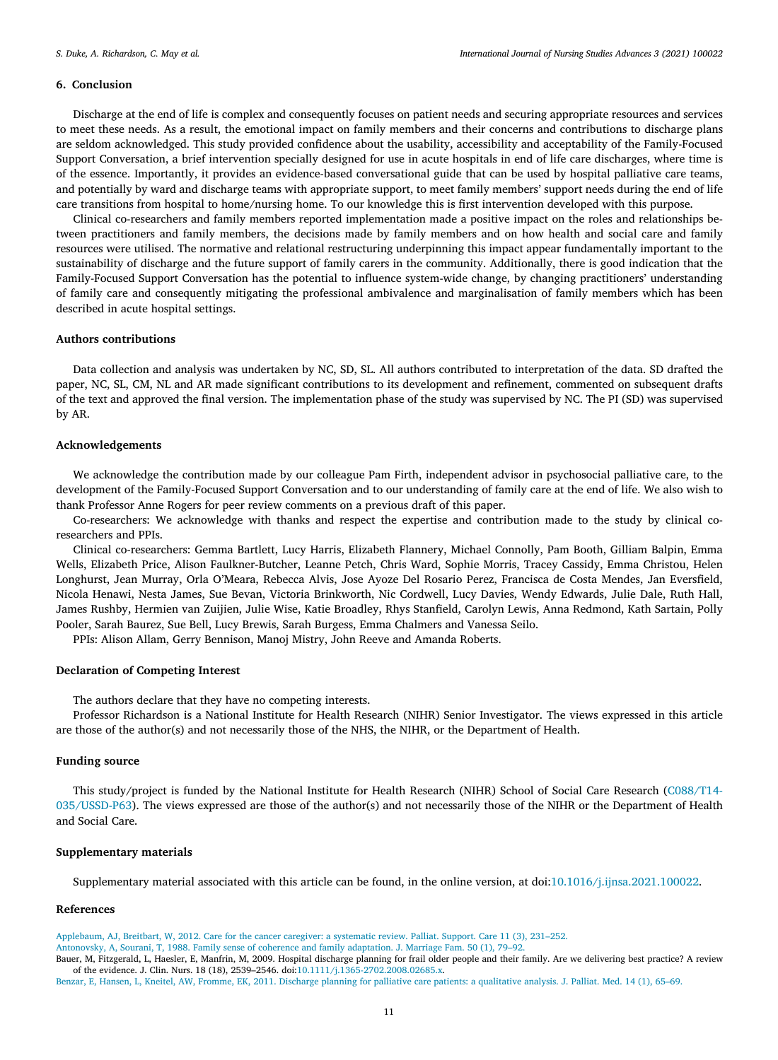## <span id="page-10-0"></span>**6. Conclusion**

Discharge at the end of life is complex and consequently focuses on patient needs and securing appropriate resources and services to meet these needs. As a result, the emotional impact on family members and their concerns and contributions to discharge plans are seldom acknowledged. This study provided confidence about the usability, accessibility and acceptability of the Family-Focused Support Conversation, a brief intervention specially designed for use in acute hospitals in end of life care discharges, where time is of the essence. Importantly, it provides an evidence-based conversational guide that can be used by hospital palliative care teams, and potentially by ward and discharge teams with appropriate support, to meet family members' support needs during the end of life care transitions from hospital to home/nursing home. To our knowledge this is first intervention developed with this purpose.

Clinical co-researchers and family members reported implementation made a positive impact on the roles and relationships between practitioners and family members, the decisions made by family members and on how health and social care and family resources were utilised. The normative and relational restructuring underpinning this impact appear fundamentally important to the sustainability of discharge and the future support of family carers in the community. Additionally, there is good indication that the Family-Focused Support Conversation has the potential to influence system-wide change, by changing practitioners' understanding of family care and consequently mitigating the professional ambivalence and marginalisation of family members which has been described in acute hospital settings.

# **Authors contributions**

Data collection and analysis was undertaken by NC, SD, SL. All authors contributed to interpretation of the data. SD drafted the paper, NC, SL, CM, NL and AR made significant contributions to its development and refinement, commented on subsequent drafts of the text and approved the final version. The implementation phase of the study was supervised by NC. The PI (SD) was supervised by AR.

## **Acknowledgements**

We acknowledge the contribution made by our colleague Pam Firth, independent advisor in psychosocial palliative care, to the development of the Family-Focused Support Conversation and to our understanding of family care at the end of life. We also wish to thank Professor Anne Rogers for peer review comments on a previous draft of this paper.

Co-researchers: We acknowledge with thanks and respect the expertise and contribution made to the study by clinical coresearchers and PPIs.

Clinical co-researchers: Gemma Bartlett, Lucy Harris, Elizabeth Flannery, Michael Connolly, Pam Booth, Gilliam Balpin, Emma Wells, Elizabeth Price, Alison Faulkner-Butcher, Leanne Petch, Chris Ward, Sophie Morris, Tracey Cassidy, Emma Christou, Helen Longhurst, Jean Murray, Orla O'Meara, Rebecca Alvis, Jose Ayoze Del Rosario Perez, Francisca de Costa Mendes, Jan Eversfield, Nicola Henawi, Nesta James, Sue Bevan, Victoria Brinkworth, Nic Cordwell, Lucy Davies, Wendy Edwards, Julie Dale, Ruth Hall, James Rushby, Hermien van Zuijien, Julie Wise, Katie Broadley, Rhys Stanfield, Carolyn Lewis, Anna Redmond, Kath Sartain, Polly Pooler, Sarah Baurez, Sue Bell, Lucy Brewis, Sarah Burgess, Emma Chalmers and Vanessa Seilo.

PPIs: Alison Allam, Gerry Bennison, Manoj Mistry, John Reeve and Amanda Roberts.

#### **Declaration of Competing Interest**

The authors declare that they have no competing interests.

Professor Richardson is a National Institute for Health Research (NIHR) Senior Investigator. The views expressed in this article are those of the author(s) and not necessarily those of the NHS, the NIHR, or the Department of Health.

## **Funding source**

This study/project is funded by the National Institute for Health Research (NIHR) School of Social Care Research (C088/T14- 035/USSD-P63). The views expressed are those of the author(s) and not necessarily those of the NIHR or the Department of Health and Social Care.

# **Supplementary materials**

Supplementary material associated with this article can be found, in the online version, at doi[:10.1016/j.ijnsa.2021.100022.](https://doi.org/10.1016/j.ijnsa.2021.100022)

## **References**

[Applebaum,](http://refhub.elsevier.com/S2666-142X(21)00004-7/sbref0001) AJ, [Breitbart,](http://refhub.elsevier.com/S2666-142X(21)00004-7/sbref0001) W, 2012. Care for the cancer caregiver: a [systematic](http://refhub.elsevier.com/S2666-142X(21)00004-7/sbref0001) review. Palliat. Support. Care 11 (3), 231–252.

[Antonovsky,](http://refhub.elsevier.com/S2666-142X(21)00004-7/sbref0002) A, [Sourani,](http://refhub.elsevier.com/S2666-142X(21)00004-7/sbref0002) T, 1988. Family sense of coherence and family [adaptation.](http://refhub.elsevier.com/S2666-142X(21)00004-7/sbref0002) J. Marriage Fam. 50 (1), 79–92.

Bauer, M, Fitzgerald, L, Haesler, E, Manfrin, M, 2009. Hospital discharge planning for frail older people and their family. Are we delivering best practice? A review of the evidence. J. Clin. Nurs. 18 (18), 2539–2546. doi[:10.1111/j.1365-2702.2008.02685.x.](https://doi.org/10.1111/j.1365-2702.2008.02685.x)

[Benzar,](http://refhub.elsevier.com/S2666-142X(21)00004-7/sbref0004) E, [Hansen,](http://refhub.elsevier.com/S2666-142X(21)00004-7/sbref0004) L, [Kneitel,](http://refhub.elsevier.com/S2666-142X(21)00004-7/sbref0004) AW, [Fromme,](http://refhub.elsevier.com/S2666-142X(21)00004-7/sbref0004) EK, 2011. Discharge planning for palliative care patients: a [qualitative](http://refhub.elsevier.com/S2666-142X(21)00004-7/sbref0004) analysis. J. Palliat. Med. 14 (1), 65–69.